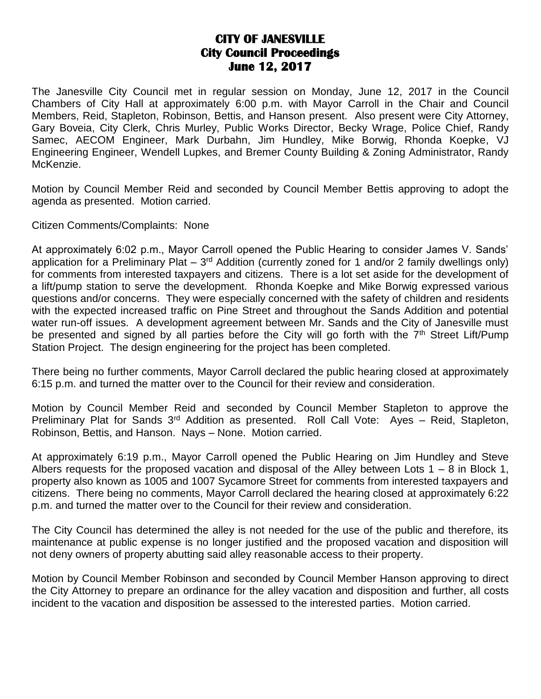## **CITY OF JANESVILLE City Council Proceedings June 12, 2017**

The Janesville City Council met in regular session on Monday, June 12, 2017 in the Council Chambers of City Hall at approximately 6:00 p.m. with Mayor Carroll in the Chair and Council Members, Reid, Stapleton, Robinson, Bettis, and Hanson present. Also present were City Attorney, Gary Boveia, City Clerk, Chris Murley, Public Works Director, Becky Wrage, Police Chief, Randy Samec, AECOM Engineer, Mark Durbahn, Jim Hundley, Mike Borwig, Rhonda Koepke, VJ Engineering Engineer, Wendell Lupkes, and Bremer County Building & Zoning Administrator, Randy McKenzie.

Motion by Council Member Reid and seconded by Council Member Bettis approving to adopt the agenda as presented. Motion carried.

Citizen Comments/Complaints: None

At approximately 6:02 p.m., Mayor Carroll opened the Public Hearing to consider James V. Sands' application for a Preliminary Plat  $-3<sup>rd</sup>$  Addition (currently zoned for 1 and/or 2 family dwellings only) for comments from interested taxpayers and citizens. There is a lot set aside for the development of a lift/pump station to serve the development. Rhonda Koepke and Mike Borwig expressed various questions and/or concerns. They were especially concerned with the safety of children and residents with the expected increased traffic on Pine Street and throughout the Sands Addition and potential water run-off issues. A development agreement between Mr. Sands and the City of Janesville must be presented and signed by all parties before the City will go forth with the 7<sup>th</sup> Street Lift/Pump Station Project. The design engineering for the project has been completed.

There being no further comments, Mayor Carroll declared the public hearing closed at approximately 6:15 p.m. and turned the matter over to the Council for their review and consideration.

Motion by Council Member Reid and seconded by Council Member Stapleton to approve the Preliminary Plat for Sands  $3^{rd}$  Addition as presented. Roll Call Vote: Ayes – Reid, Stapleton, Robinson, Bettis, and Hanson. Nays – None. Motion carried.

At approximately 6:19 p.m., Mayor Carroll opened the Public Hearing on Jim Hundley and Steve Albers requests for the proposed vacation and disposal of the Alley between Lots  $1 - 8$  in Block 1, property also known as 1005 and 1007 Sycamore Street for comments from interested taxpayers and citizens. There being no comments, Mayor Carroll declared the hearing closed at approximately 6:22 p.m. and turned the matter over to the Council for their review and consideration.

The City Council has determined the alley is not needed for the use of the public and therefore, its maintenance at public expense is no longer justified and the proposed vacation and disposition will not deny owners of property abutting said alley reasonable access to their property.

Motion by Council Member Robinson and seconded by Council Member Hanson approving to direct the City Attorney to prepare an ordinance for the alley vacation and disposition and further, all costs incident to the vacation and disposition be assessed to the interested parties. Motion carried.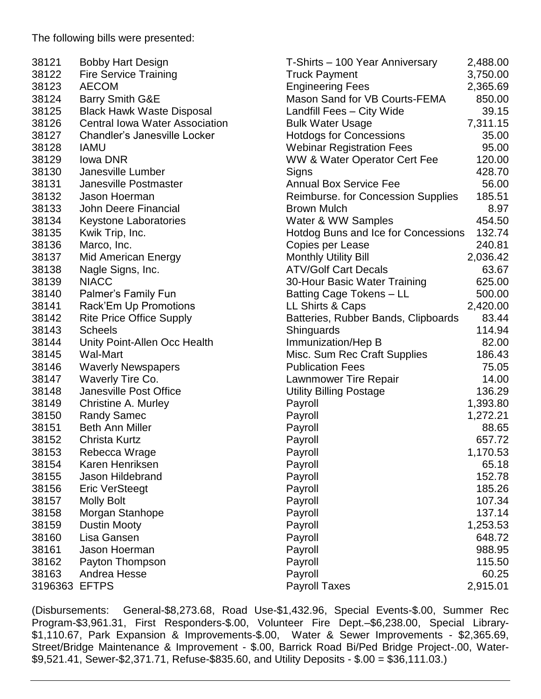The following bills were presented:

| 38121         | <b>Bobby Hart Design</b>              | T-Shirts - 100 Year Anniversary         | 2,488.00 |
|---------------|---------------------------------------|-----------------------------------------|----------|
| 38122         | <b>Fire Service Training</b>          | <b>Truck Payment</b>                    | 3,750.00 |
| 38123         | <b>AECOM</b>                          | <b>Engineering Fees</b>                 | 2,365.69 |
| 38124         | Barry Smith G&E                       | Mason Sand for VB Courts-FEMA           | 850.00   |
| 38125         | <b>Black Hawk Waste Disposal</b>      | Landfill Fees - City Wide               | 39.15    |
| 38126         | <b>Central Iowa Water Association</b> | <b>Bulk Water Usage</b>                 | 7,311.15 |
| 38127         | Chandler's Janesville Locker          | <b>Hotdogs for Concessions</b>          | 35.00    |
| 38128         | <b>IAMU</b>                           | <b>Webinar Registration Fees</b>        | 95.00    |
| 38129         | <b>Iowa DNR</b>                       | <b>WW &amp; Water Operator Cert Fee</b> | 120.00   |
| 38130         | Janesville Lumber                     | Signs                                   | 428.70   |
| 38131         | Janesville Postmaster                 | <b>Annual Box Service Fee</b>           | 56.00    |
| 38132         | Jason Hoerman                         | Reimburse. for Concession Supplies      | 185.51   |
| 38133         | John Deere Financial                  | <b>Brown Mulch</b>                      | 8.97     |
| 38134         | <b>Keystone Laboratories</b>          | Water & WW Samples                      | 454.50   |
| 38135         | Kwik Trip, Inc.                       | Hotdog Buns and Ice for Concessions     | 132.74   |
| 38136         | Marco, Inc.                           | Copies per Lease                        | 240.81   |
| 38137         | <b>Mid American Energy</b>            | <b>Monthly Utility Bill</b>             | 2,036.42 |
| 38138         | Nagle Signs, Inc.                     | <b>ATV/Golf Cart Decals</b>             | 63.67    |
| 38139         | <b>NIACC</b>                          | 30-Hour Basic Water Training            | 625.00   |
| 38140         | Palmer's Family Fun                   | Batting Cage Tokens - LL                | 500.00   |
| 38141         | Rack'Em Up Promotions                 | LL Shirts & Caps                        | 2,420.00 |
| 38142         | <b>Rite Price Office Supply</b>       | Batteries, Rubber Bands, Clipboards     | 83.44    |
| 38143         | <b>Scheels</b>                        | Shinguards                              | 114.94   |
| 38144         | Unity Point-Allen Occ Health          | Immunization/Hep B                      | 82.00    |
| 38145         | Wal-Mart                              | Misc. Sum Rec Craft Supplies            | 186.43   |
| 38146         | <b>Waverly Newspapers</b>             | <b>Publication Fees</b>                 | 75.05    |
| 38147         | Waverly Tire Co.                      | Lawnmower Tire Repair                   | 14.00    |
| 38148         | Janesville Post Office                | <b>Utility Billing Postage</b>          | 136.29   |
| 38149         | Christine A. Murley                   | Payroll                                 | 1,393.80 |
| 38150         | <b>Randy Samec</b>                    | Payroll                                 | 1,272.21 |
| 38151         | <b>Beth Ann Miller</b>                | Payroll                                 | 88.65    |
| 38152         | Christa Kurtz                         | Payroll                                 | 657.72   |
| 38153         | Rebecca Wrage                         | Payroll                                 | 1,170.53 |
| 38154         | Karen Henriksen                       | Payroll                                 | 65.18    |
| 38155         | Jason Hildebrand                      | Payroll                                 | 152.78   |
| 38156         | <b>Eric VerSteegt</b>                 | Payroll                                 | 185.26   |
| 38157         | <b>Molly Bolt</b>                     | Payroll                                 | 107.34   |
| 38158         | Morgan Stanhope                       | Payroll                                 | 137.14   |
| 38159         | <b>Dustin Mooty</b>                   | Payroll                                 | 1,253.53 |
| 38160         | Lisa Gansen                           | Payroll                                 | 648.72   |
| 38161         | Jason Hoerman                         | Payroll                                 | 988.95   |
| 38162         | Payton Thompson                       | Payroll                                 | 115.50   |
| 38163         | Andrea Hesse                          | Payroll                                 | 60.25    |
| 3196363 EFTPS |                                       | <b>Payroll Taxes</b>                    | 2,915.01 |
|               |                                       |                                         |          |

(Disbursements: General-\$8,273.68, Road Use-\$1,432.96, Special Events-\$.00, Summer Rec Program-\$3,961.31, First Responders-\$.00, Volunteer Fire Dept.–\$6,238.00, Special Library- \$1,110.67, Park Expansion & Improvements-\$.00, Water & Sewer Improvements - \$2,365.69, Street/Bridge Maintenance & Improvement - \$.00, Barrick Road Bi/Ped Bridge Project-.00, Water- \$9,521.41, Sewer-\$2,371.71, Refuse-\$835.60, and Utility Deposits - \$.00 = \$36,111.03.)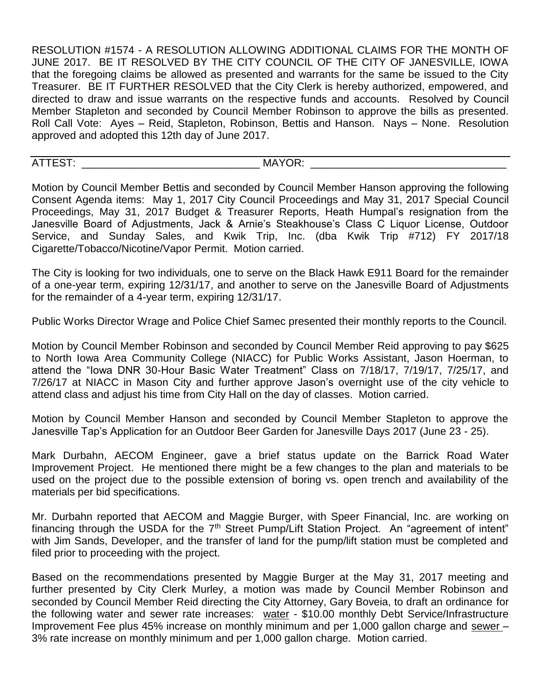RESOLUTION #1574 - A RESOLUTION ALLOWING ADDITIONAL CLAIMS FOR THE MONTH OF JUNE 2017. BE IT RESOLVED BY THE CITY COUNCIL OF THE CITY OF JANESVILLE, IOWA that the foregoing claims be allowed as presented and warrants for the same be issued to the City Treasurer. BE IT FURTHER RESOLVED that the City Clerk is hereby authorized, empowered, and directed to draw and issue warrants on the respective funds and accounts. Resolved by Council Member Stapleton and seconded by Council Member Robinson to approve the bills as presented. Roll Call Vote: Ayes – Reid, Stapleton, Robinson, Bettis and Hanson. Nays – None. Resolution approved and adopted this 12th day of June 2017.

ATTEST: MAYOR: WEIGHT

Motion by Council Member Bettis and seconded by Council Member Hanson approving the following Consent Agenda items: May 1, 2017 City Council Proceedings and May 31, 2017 Special Council Proceedings, May 31, 2017 Budget & Treasurer Reports, Heath Humpal's resignation from the Janesville Board of Adjustments, Jack & Arnie's Steakhouse's Class C Liquor License, Outdoor Service, and Sunday Sales, and Kwik Trip, Inc. (dba Kwik Trip #712) FY 2017/18 Cigarette/Tobacco/Nicotine/Vapor Permit. Motion carried.

The City is looking for two individuals, one to serve on the Black Hawk E911 Board for the remainder of a one-year term, expiring 12/31/17, and another to serve on the Janesville Board of Adjustments for the remainder of a 4-year term, expiring 12/31/17.

Public Works Director Wrage and Police Chief Samec presented their monthly reports to the Council.

Motion by Council Member Robinson and seconded by Council Member Reid approving to pay \$625 to North Iowa Area Community College (NIACC) for Public Works Assistant, Jason Hoerman, to attend the "Iowa DNR 30-Hour Basic Water Treatment" Class on 7/18/17, 7/19/17, 7/25/17, and 7/26/17 at NIACC in Mason City and further approve Jason's overnight use of the city vehicle to attend class and adjust his time from City Hall on the day of classes. Motion carried.

Motion by Council Member Hanson and seconded by Council Member Stapleton to approve the Janesville Tap's Application for an Outdoor Beer Garden for Janesville Days 2017 (June 23 - 25).

Mark Durbahn, AECOM Engineer, gave a brief status update on the Barrick Road Water Improvement Project. He mentioned there might be a few changes to the plan and materials to be used on the project due to the possible extension of boring vs. open trench and availability of the materials per bid specifications.

Mr. Durbahn reported that AECOM and Maggie Burger, with Speer Financial, Inc. are working on financing through the USDA for the 7<sup>th</sup> Street Pump/Lift Station Project. An "agreement of intent" with Jim Sands, Developer, and the transfer of land for the pump/lift station must be completed and filed prior to proceeding with the project.

Based on the recommendations presented by Maggie Burger at the May 31, 2017 meeting and further presented by City Clerk Murley, a motion was made by Council Member Robinson and seconded by Council Member Reid directing the City Attorney, Gary Boveia, to draft an ordinance for the following water and sewer rate increases: water - \$10.00 monthly Debt Service/Infrastructure Improvement Fee plus 45% increase on monthly minimum and per 1,000 gallon charge and sewer – 3% rate increase on monthly minimum and per 1,000 gallon charge. Motion carried.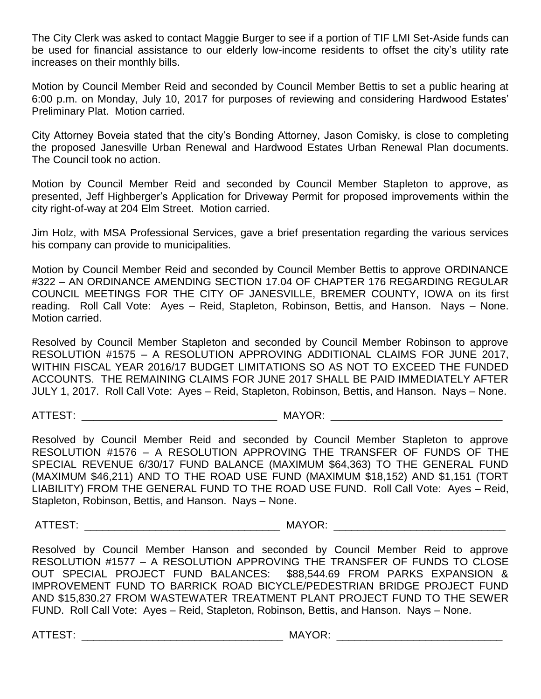The City Clerk was asked to contact Maggie Burger to see if a portion of TIF LMI Set-Aside funds can be used for financial assistance to our elderly low-income residents to offset the city's utility rate increases on their monthly bills.

Motion by Council Member Reid and seconded by Council Member Bettis to set a public hearing at 6:00 p.m. on Monday, July 10, 2017 for purposes of reviewing and considering Hardwood Estates' Preliminary Plat. Motion carried.

City Attorney Boveia stated that the city's Bonding Attorney, Jason Comisky, is close to completing the proposed Janesville Urban Renewal and Hardwood Estates Urban Renewal Plan documents. The Council took no action.

Motion by Council Member Reid and seconded by Council Member Stapleton to approve, as presented, Jeff Highberger's Application for Driveway Permit for proposed improvements within the city right-of-way at 204 Elm Street. Motion carried.

Jim Holz, with MSA Professional Services, gave a brief presentation regarding the various services his company can provide to municipalities.

Motion by Council Member Reid and seconded by Council Member Bettis to approve ORDINANCE #322 – AN ORDINANCE AMENDING SECTION 17.04 OF CHAPTER 176 REGARDING REGULAR COUNCIL MEETINGS FOR THE CITY OF JANESVILLE, BREMER COUNTY, IOWA on its first reading. Roll Call Vote: Ayes – Reid, Stapleton, Robinson, Bettis, and Hanson. Nays – None. Motion carried.

Resolved by Council Member Stapleton and seconded by Council Member Robinson to approve RESOLUTION #1575 – A RESOLUTION APPROVING ADDITIONAL CLAIMS FOR JUNE 2017, WITHIN FISCAL YEAR 2016/17 BUDGET LIMITATIONS SO AS NOT TO EXCEED THE FUNDED ACCOUNTS. THE REMAINING CLAIMS FOR JUNE 2017 SHALL BE PAID IMMEDIATELY AFTER JULY 1, 2017. Roll Call Vote: Ayes – Reid, Stapleton, Robinson, Bettis, and Hanson. Nays – None.

ATTEST: THE RESOLUTION OF THE RESOLUTION OF THE RESOLUTION OF THE RESOLUTION OF THE RESOLUTION OF THE RESOLUTION OF THE RESOLUTION OF THE RESOLUTION OF THE RESOLUTION OF THE RESOLUTION OF THE RESOLUTION OF THE RESOLUTION O

Resolved by Council Member Reid and seconded by Council Member Stapleton to approve RESOLUTION #1576 – A RESOLUTION APPROVING THE TRANSFER OF FUNDS OF THE SPECIAL REVENUE 6/30/17 FUND BALANCE (MAXIMUM \$64,363) TO THE GENERAL FUND (MAXIMUM \$46,211) AND TO THE ROAD USE FUND (MAXIMUM \$18,152) AND \$1,151 (TORT LIABILITY) FROM THE GENERAL FUND TO THE ROAD USE FUND. Roll Call Vote: Ayes – Reid, Stapleton, Robinson, Bettis, and Hanson. Nays – None.

ATTEST: THE RESOLUTION OF A LOCAL CONTROLLER MAYOR: A LOCAL CONTROLLER STATES OF A LOCAL CONTROLLER STATES OF A LOCAL CONTROLLER STATES OF A LOCAL CONTROLLER STATES OF A LOCAL CONTROLLER STATES OF A LOCAL CONTROLLER STATES

Resolved by Council Member Hanson and seconded by Council Member Reid to approve RESOLUTION #1577 – A RESOLUTION APPROVING THE TRANSFER OF FUNDS TO CLOSE OUT SPECIAL PROJECT FUND BALANCES: \$88,544.69 FROM PARKS EXPANSION & IMPROVEMENT FUND TO BARRICK ROAD BICYCLE/PEDESTRIAN BRIDGE PROJECT FUND AND \$15,830.27 FROM WASTEWATER TREATMENT PLANT PROJECT FUND TO THE SEWER FUND. Roll Call Vote: Ayes – Reid, Stapleton, Robinson, Bettis, and Hanson. Nays – None.

ATTEST: \_\_\_\_\_\_\_\_\_\_\_\_\_\_\_\_\_\_\_\_\_\_\_\_\_\_\_\_\_\_\_\_\_\_ MAYOR: \_\_\_\_\_\_\_\_\_\_\_\_\_\_\_\_\_\_\_\_\_\_\_\_\_\_\_\_